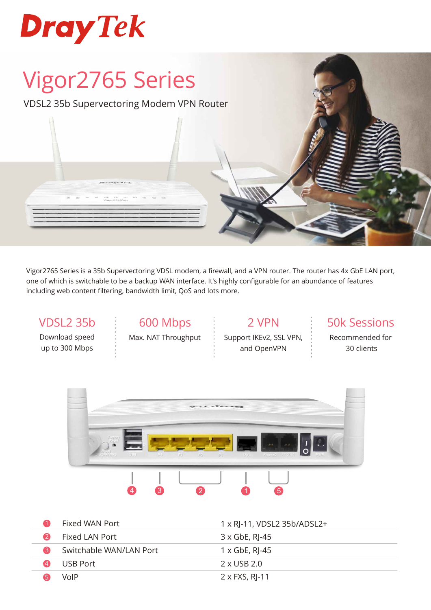

# Vigor2765 Series

VDSL2 35b Supervectoring Modem VPN Router

Vigor2765 Series is a 35b Supervectoring VDSL modem, a firewall, and a VPN router. The router has 4x GbE LAN port, one of which is switchable to be a backup WAN interface. It's highly configurable for an abundance of features including web content filtering, bandwidth limit, QoS and lots more.

# Download speed

up to 300 Mbps

VDSL2 35b 600 Mbps Max. NAT Throughput

2 VPN Support IKEv2, SSL VPN, and OpenVPN

50k Sessions

Recommended for 30 clients



|     | Fixed WAN Port          | 1 x RJ-11, VDSL2 35b/ADSL2+ |
|-----|-------------------------|-----------------------------|
|     | Fixed LAN Port          | 3 x GbE, RJ-45              |
|     | Switchable WAN/LAN Port | $1 \times$ GbE, RJ-45       |
| (4) | USB Port                | 2 x USB 2.0                 |
|     | VoIP                    | $2 \times$ FXS, RJ-11       |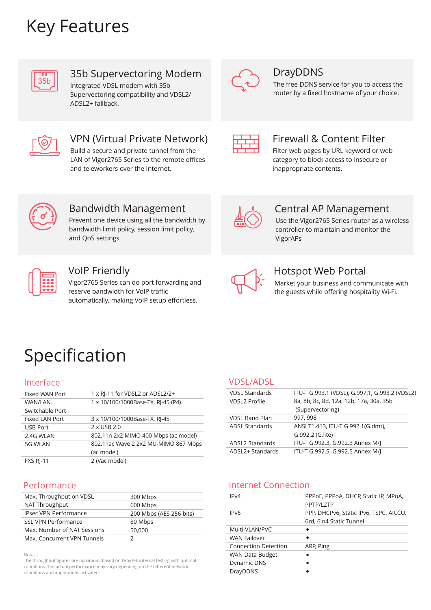## Key Features



## 35b Supervectoring Modem

Integrated VDSL modem with 35b Supervectoring compatibility and VDSL2/ ADSL2+ fallback.



### DrayDDNS

The free DDNS service for you to access the router by a fixed hostname of your choice.



## VPN (Virtual Private Network)

Build a secure and private tunnel from the LAN of Vigor2765 Series to the remote offices and teleworkers over the Internet.



## Firewall & Content Filter

Filter web pages by URL keyword or web category to block access to insecure or inappropriate contents.



## Bandwidth Management

Prevent one device using all the bandwidth by bandwidth limit policy, session limit policy, and QoS settings.



#### VoIP Friendly

Vigor2765 Series can do port forwarding and reserve bandwidth for VoIP traffic automatically, making VoIP setup effortless.



## Central AP Management

Use the Vigor2765 Series router as a wireless controller to maintain and monitor the VigorAPs



## Hotspot Web Portal

Market your business and communicate with the guests while offering hospitality Wi-Fi.

## Specification

#### Interface

| <b>Fixed WAN Port</b> | 1 x RI-11 for VDSL2 or ADSL2/2+      |
|-----------------------|--------------------------------------|
| <b>WAN/LAN</b>        | 1 x 10/100/1000Base-TX, RJ-45 (P4)   |
| Switchable Port       |                                      |
| Fixed LAN Port        | 3 x 10/100/1000Base-TX, RJ-45        |
| <b>USB Port</b>       | 2 x USB 2.0                          |
| 2.4G WLAN             | 802.11n 2x2 MIMO 400 Mbps (ac model) |
| 5G WLAN               | 802.11ac Wave 2 2x2 MU-MIMO 867 Mbps |
|                       | (ac model)                           |
| <b>FXS RI-11</b>      | 2 (Vac model)                        |
|                       |                                      |

#### Performance

| Max. Throughput on VDSL      | 300 Mbps                |
|------------------------------|-------------------------|
| NAT Throughput               | 600 Mbps                |
| <b>IPsec VPN Performance</b> | 200 Mbps (AES 256 bits) |
| <b>SSL VPN Performance</b>   | 80 Mbps                 |
| Max. Number of NAT Sessions  | 50,000                  |
| Max. Concurrent VPN Tunnels  |                         |

Notes :

The throughput figures are maximum, based on DrayTek internal testing with optimal conditions. The actual performance may vary depending on the different network conditions and applications activated.

#### VDSL/ADSL

| <b>VDSL Standards</b> | ITU-T G.993.1 (VDSL), G.997.1, G.993.2 (VDSL2) |
|-----------------------|------------------------------------------------|
| <b>VDSL2 Profile</b>  | 8a, 8b, 8c, 8d, 12a, 12b, 17a, 30a, 35b        |
|                       | (Supervectoring)                               |
| <b>VDSL Band Plan</b> | 997, 998                                       |
| <b>ADSL Standards</b> | ANSI T1.413, ITU-T G.992.1(G.dmt),             |
|                       | G.992.2 (G.lite)                               |
| ADSL2 Standards       | ITU-T G.992.3, G.992.3 Annex M/J               |
| ADSL2+ Standards      | ITU-T G.992.5, G.992.5 Annex M/J               |

#### Internet Connection

| IP <sub>V</sub> 4            | PPPOE, PPPOA, DHCP, Static IP, MPOA,<br>PPTP/I 2TP                |
|------------------------------|-------------------------------------------------------------------|
| IP <sub>V</sub> <sub>6</sub> | PPP, DHCPv6, Static IPv6, TSPC, AICCU,<br>6rd, 6in4 Static Tunnel |
| Multi-VLAN/PVC               |                                                                   |
| <b>WAN Failover</b>          |                                                                   |
| <b>Connection Detection</b>  | ARP, Ping                                                         |
| <b>WAN Data Budget</b>       |                                                                   |
| Dynamic DNS                  |                                                                   |
| <b>DrayDDNS</b>              |                                                                   |